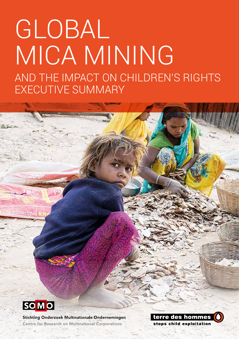# GLOBAL MICA MINING AND THE IMPACT ON CHILDREN'S RIGHTS EXECUTIVE SUMMARY



**Soften, Ra** 

Stichting Onderzoek Multinationale Ondernemingen **Centre for Research on Multinational Corporations** 

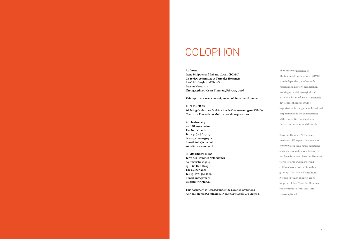#### **Authors:**

Irene Schipper and Roberta Cowan (SOMO) **Co-review committee at Terre des Hommes:** Aysel Sabahoglu and Tirza Voss Layout: Newton<sub>21</sub> **Photography:** © Oscar Timmers, February 2016

This report was made on assignment of Terre des Hommes.

#### **PUBLISHED BY:**

Sarphatistraat 30 1018 GL Amsterdam The Netherlands Tel:  $+31(20)$  6391291  $Fax: + 31(20)6391321$ E-mail: info@somo.nl Website: www.somo.nl

Stichting Onderzoek Multinationale Ondernemingen (SOMO) Centre for Research on Multinational Corporations

#### **COMMISSIONED BY:**

Terre des Hommes Netherlands Zoutmanstraat 42-44 2518 GS Den Haag The Netherlands Tel: +31 (70) 310 5000 E-mail: info@tdh.nl Website: www.tdh.nl

This document is licensed under the Creative Commons Attribution-NonCommercial-NoDerivateWorks 4.0 License. The Centre for Research on Multinational Corporations (SOMO) is an independent, not-for-profit research and network organisation working on social, ecological and economic issues related to sustainable development. Since 1973, the organisation investigates multinational corporations and the consequences of their activities for people and the environment around the world.

Terre des Hommes Netherlands prevents child exploitation, removes children from exploitative situations and ensures children can develop in a safe environment. Terre des Hommes works towards a world where all children have a decent life and can grow up to be independent adults. A world in which children are no longer exploited. Terre des Hommes will continue its work until this is accomplished.

### COLOPHON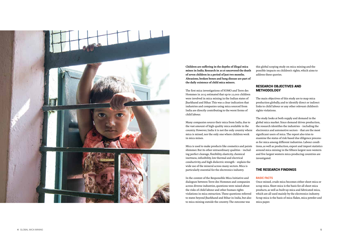

**Children are suffering in the depths of illegal mica mines in India. Research in 2016 uncovered the death of seven children in a period of just two months. Abrasions, broken bones and lung disease are part of the daily existence of child mica miners.** 

The first mica investigations of SOMO and Terre des Hommes in 2015 estimated that up to 22,000 children were involved in mica mining in the Indian states of Jharkhand and Bihar. This was a clear indication that industries and companies using mica sourced from India are directly contributing to the worst forms of child labour.

Many companies source their mica from India, due to the vast amount of high-quality mica available in the country. However, India it is not the only country where mica is mined, nor the only one where children work in mica mines.

#### RESEARCH OBJECTIVES AND **METHODOLOGY**

Mica is used to make products like cosmetics and paints shimmer. But its other extraordinary qualities – includ ing perfect cleavage, flexibility, elasticity, chemical inertness, infusibility, low thermal and electrical conductivity, and high dielectric strength – explain the wide use of the mineral across many sectors. Mica is particularly essential for the electronics industry.

In the context of the Responsible Mica Initiative and dialogues between Terre des Hommes and companies across diverse industries, questions were raised about the risks of child labour and other human rights violations in mica extraction. These questions referred to states beyond Jharkhand and Bihar in India, but also to mica mining outside the country. The outcome was

this global scoping study on mica mining and the possible impacts on children's rights, which aims to address these queries.

The main objectives of this study are to map mica production globally, and to identify direct or indirect links to child labour or any other relevant children's rights violations.

The study looks at both supply and demand in the global mica market. Since demand drives production, the research identifies the industries – including the electronics and automotive sectors – that are the most significant users of mica. The report also tries to examine the status of risk-based due diligence process es for mica among different industries. Labour condi tions, as well as production, export and import statistics around mica mining in the fifteen largest non-western and five largest western mica-producing countries are investigated.

#### THE RESEARCH FINDINGS

#### **BASIC FACTS**

Once mined, crude mica becomes either sheet mica or scrap mica. Sheet mica is the basis for all sheet mica products, as well as built-up mica and fabricated mica, which are all used mainly by the electronics industry. Scrap mica is the basis of mica flakes, mica powder and mica paper.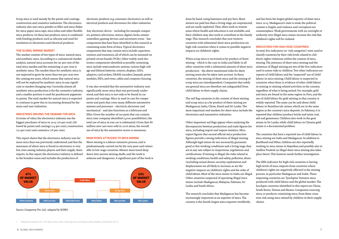Scrap mica is used mainly by the paints and coatings, construction and cosmetics industries. The electronics industry also uses mica powder as filler and mica flakes for mica paper, mica tape, mica tubes and other flexible mica products. In these last products, mica is combined with binding products such as silicone and used for insulation in electronics and electrical products.

#### **THE GLOBAL MINING MARKET**

The market consists of two types of mica: natural mica and synthetic mica. According to a commercial market analysis, natural mica accounts for 90 per cent of the total mica market and the remaining 10 per cent is synthetic mica. The market share for synthetic mica is not expected to grow by more than two per cent over the coming ten years, which means that natural mica will not be replaced by synthetic mica in any significant or market-changing way. Currently, almost all synthetic mica production is for the cosmetics industry, and a smaller portion is used for pearlescent pigments in paints. The total market for natural mica is expected to continue to grow due to increasing demand by the main end-user industries.

#### **INDUSTRIES DRIVING THE DEMAND FOR MICA**

In terms of value, the electronics industry was the biggest purchaser of mica in 2015 (26 per cent), followed by paints and coatings (24 per cent), construction (20 per cent) and cosmetics (18 per cent).

This report shows that the electronics industry uses far more mica than was previously understood, and that the awareness of where mica is found in electronics is very low, even among industry players and their supply chain experts. In this report, the electronics industry is defined in the broadest sense and includes the production of

electronic products (e.g. consumer electronics) as well as electrical products and electronics for other industries.

Any electronic device – including for example computers, printers, televisions, stereos, digital clocks, remote controllers, gaming devices, and microwave ovens – has components that have been identified in this research as containing some form of mica. Typical electronics components that may contain mica include capacitors, resistors and transistors, all of which can be mounted on printed circuit boards (PCBs). Other widely-used electronics components identified as possibly containing mica include semiconductor systems, various high-voltage and lithium batteries, sensors, displays, LEDs, adaptors, card sockets, DRAM, encoders, keypads, power modules, SSDs, and wires, cables and computer housing.

It was also revealed that the automotive industry uses significantly more mica than was previously understood, and that mica is not only to be found in car paints and coatings. Mica in used in cars for components and parts that cross many different automotive systems and processes – electrical, electronic and mechanical – and also functions as a lubricant and filler. Given the number of car parts that can contain mica (one company identified 15,000 possibilities), the total use of mica in one car is substantial. Given that 88 million new cars were sold in 2016 alone, the overall use of mica by the automotive sector is enormous.

#### **MAIN RISKS ATTACHED TO MICA MINING**

Sheet mining is a labour-intensive process, and is predominantly carried out by the very poor and vulnerable in low-wage countries. Miners must travel deep down into narrow mining shafts, and the work is arduous and dangerous. A significant part of the work is When scrap mica is recovered as by-product of sheet mining – which is the case in India and likely in all other countries with a substantial amount of sheet mica production – the above-mentioned risks for sheet mining must also be taken into account. In these countries, the mining of sheet mica and the mining of scrap mica are interdependent. Companies that solely use ground mica are therefore not safeguarded from child labour in their supply chains.

The red flag countries in the context of sheet mining and scrap mica as a by-product of sheet mining are Madagascar, India, China, Brazil and Sri Lanka. The most important end-markets for sheet mica include the electronics and automotive industries.

done by hand, using hammers and pry bars. Sheet miners are paid less than a living wage, are unprotected, and are easily exploited. They often work in remote areas where health and education is not available, and their children may also work to contribute to the family wage. This research concludes that non-western countries with substantial sheet mica production are high-risk countries when it comes to possible negative impacts on children's rights. and has been the largest global exporter of sheet mica since 2015. Madagascar's state is weak, the political context is fragile, and violence and corruption are commonplace. Weak governments with no oversight or authority over illegal mica mines increase the risk that children's rights will be violated. **INDICATORS FOR HIGH-RISK COUNTRIES**  In total, five indicators (or 'risk categories') were used to

increasingly important as an exporter of mica. The country is the fourth-largest mica exporter worldwide,

6 GLOBAL MICA MINING

Other important red flags appear when analysing the discrepancies between production and trade figures for mica, including export and import statistics. Mica export figures that exceed official mica production figures provide a strong indication of illegal mining. Although legal mines do not necessarily guarantee good or fair working conditions and a living wage, they are at any rate subject to inspections, regulations and certifications. If mining is illegal, the risks related to working conditions, health and safety, pollution, abuse (including sexual abuse), security, exploitation and displacement are all likely to increase, as are the negative impacts on children's rights and the risks of child labour. Most of the mica mines in India are illegal. Other countries suspected of operating illegal mica mines include Madagascar, Malaysia, Pakistan, Sri Lanka and South Africa. The research concludes that Madagascar has become mines is a documented problem. The countries that have a reported use of child labour in mica mining are India and Madagascar. In addition to Jharkhand and Bihar, children are also reportedly working in mica mines in Rajasthan and possibly also in Andhra Pradesh (as illegal sheet mica mining also takes place there). This however needs further investigation. The fifth indicator for high-risk countries is having high levels of mica imports from countries where children's rights are negatively affected in the mining process, in particular Madagascar and India. These importing countries are 'lynchpins' between mica produced with child labour and the global market. The lynchpin countries identified in this report are China, South Korea, Taiwan and Russia. Companies sourcing mica, or products containing mica, from these countries risk using mica mined by children in their supply chains.

classify countries by their risk levels related to children's rights violations within the context of mica mining. The presence of sheet mica mining and the existence of illegal mining are two of the five indicators used to assess risks to children. Two other indicators are reports of child labour and the 'suspected' use of child labour in mica mining. Child labour is suspected in countries when there is evidence of other child labour in mining or mining-related activities in the country, regardless of what is being mined. For example, gold and mica are found in the same region in Peru, and the use of child labour for gold mining in that country is widely reported. The same can be said about child labour in Brazilian talc mines, which are in the same region as the country's mica deposits. In Pakistan, it is reported that children produce bricks and mine coal, salt and gemstones. Children also work in the gem mines in Sri Lanka, while child labour in Chinese gold



1 Website Gunpatroy Pvt. Ltd, About mica, http://www.grmica.com/About\_Mica.php#aa, (December 2017).

*Source: Gunpatroy Pvt. Ltd,1 adapted by SOMO.*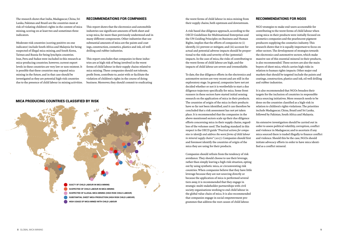

#### MICA PRODUCING COUNTRIES CLASSIFIED BY RISK

The research shows that India, Madagascar, China, Sri Lanka, Pakistan and Brazil are the countries most at risk of violating children's rights in the context of mica mining, scoring on at least two and sometimes three indicators.

Moderate-risk countries (scoring positive on one indicator) include South Africa and Malaysia for being suspected of illegal mica mining, and South Korea, Taiwan and Russia for being lynchpin countries. Iran, Peru and Sudan were included in this research as mica-producing countries; however, current export levels in these countries are very low or non-existent. It is possible that these countries may expand mica mining in the future, and in that case should be investigated as they are potential high-risk countries due to the presence of child labour in mining activities.

#### RECOMMENDATIONS FOR COMPANIES

This report shows that the electronics and automobile industries use significant amounts of both sheet and scrap mica, far more than previously understood and in many different components. Other industries that use substantial amounts of mica are the paints and coatings, construction, cosmetics, plastics and ink, oil well drilling and rubber industries.

This report concludes that companies in these industries are at high risk of being involved in the worst forms of child labour in their supply chains related to mica mining. These companies should not tolerate, profit from, contribute to, assist with or facilitate the violation of children's rights in the course of doing business. Moreover, they should commit to eradicating the worst forms of child labour in mica mining from their supply chains, both upstream and downstream.

A risk-based due diligence approach, according to the OECD Guidelines for Multinational Enterprises and the UN Guiding Principles on Business and Human Rights, implies that the efforts of companies to (i) identify, (ii) prevent or mitigate, and (iii) account for actual and potential adverse impacts should be proportional to the risks and severity of the (potential) impacts. In the case of mica, the risks of contributing to the worst forms of child labour are high, and the impacts of child labour are severe and irremediable.

To date, the due diligence efforts in the electronics and automotive sectors are very recent and are still in the exploratory stage. In general, companies have not yet decided whether or not it is worthwhile to start a due diligence trajectory specifically for mica. Some front runners in these sectors have started initial sensing research on the application of mica in their products. The countries of origin of the mica in their products have so far not been identified, and it can therefore be concluded that a risk assessment has not yet taken place. It is recommended that the companies in the above-mentioned sectors scale up their due diligence efforts concerning mica in their supply chains, regardless of the volumes used. The leading standard in this respect is the OECD guide *"Practical actions for companies to identify and address the worst forms of child labour in mineral supply chains"* (2017). Companies should first and foremost identify the countries of origin of the mica they are using for their products.

Companies should refrain from the tendency of risk avoidance. They should choose to use their leverage, rather than simply leaving a high-risk situation, opting out by using synthetic mica, or circumventing risk countries. When companies believe that they have little leverage because they are not sourcing directly or because the application of mica is performed several tiers away, it is recommended that they engage in strategic multi-stakeholder partnerships with civil society organisations working to end child labour in the global value chain of mica. It is also recommended that companies engage in social empowerment programmes that address the root causes of child labour.

### RECOMMENDATIONS FOR NGOS

NGO strategies to make end-users accountable for contributing to the worst forms of child labour when using mica in their products were initially focused on cosmetics companies and the pearlescent pigment producers supplying the cosmetics industry. This research shows that it is equally important to focus on other sectors. The development of strategies towards the electronics and automotive sectors, which make massive use of this essential mineral in their products, is also recommended. These sectors are also the main buyers of sheet mica, which carries high risks in relation to human rights impacts. Other major end markets that should be targeted include the paints and coatings, construction, plastics and ink, oil well drilling and rubber industries.

It is also recommended that NGOs broaden their targets for the inclusion of countries in responsible mica sourcing initiatives. More research needs to be done on the countries classified as a high-risk in relation to children's rights violations. The priorities include Madagascar, China, Brazil and Sri Lanka, followed by Pakistan, South Africa and Malaysia.

An extensive investigation should be carried out in order to assess political volatility, corruption, conflict and violence in Madagascar, and to ascertain if any mica sourced there is traded illegally to finance conflict and violence. Should this be the case, NGOs should initiate advocacy efforts in order to have mica identified as a conflict mineral.